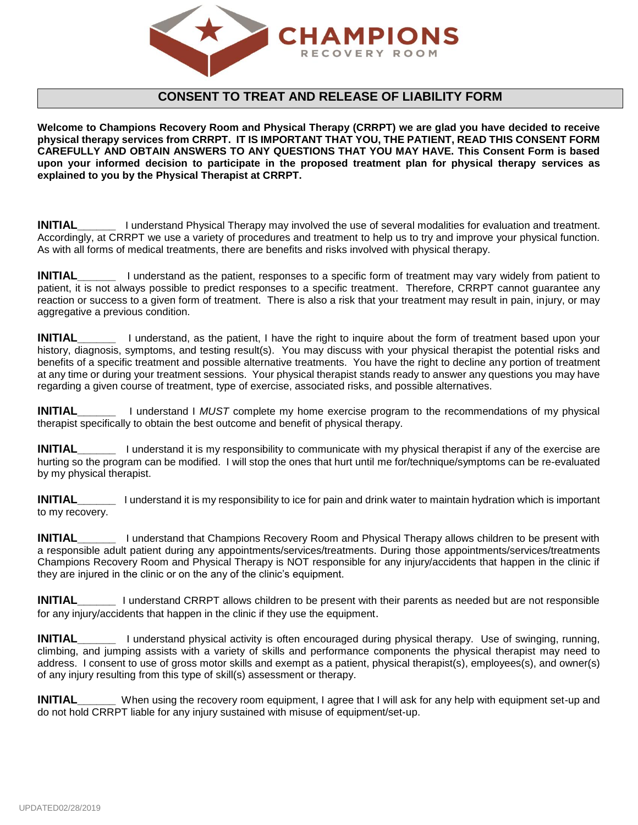

## **CONSENT TO TREAT AND RELEASE OF LIABILITY FORM**

**Welcome to Champions Recovery Room and Physical Therapy (CRRPT) we are glad you have decided to receive physical therapy services from CRRPT. IT IS IMPORTANT THAT YOU, THE PATIENT, READ THIS CONSENT FORM CAREFULLY AND OBTAIN ANSWERS TO ANY QUESTIONS THAT YOU MAY HAVE. This Consent Form is based upon your informed decision to participate in the proposed treatment plan for physical therapy services as explained to you by the Physical Therapist at CRRPT.**

**INITIAL** I understand Physical Therapy may involved the use of several modalities for evaluation and treatment. Accordingly, at CRRPT we use a variety of procedures and treatment to help us to try and improve your physical function. As with all forms of medical treatments, there are benefits and risks involved with physical therapy.

**INITIAL\_\_\_\_\_\_** I understand as the patient, responses to a specific form of treatment may vary widely from patient to patient, it is not always possible to predict responses to a specific treatment. Therefore, CRRPT cannot guarantee any reaction or success to a given form of treatment. There is also a risk that your treatment may result in pain, injury, or may aggregative a previous condition.

**INITIAL\_\_\_\_\_\_** I understand, as the patient, I have the right to inquire about the form of treatment based upon your history, diagnosis, symptoms, and testing result(s). You may discuss with your physical therapist the potential risks and benefits of a specific treatment and possible alternative treatments. You have the right to decline any portion of treatment at any time or during your treatment sessions. Your physical therapist stands ready to answer any questions you may have regarding a given course of treatment, type of exercise, associated risks, and possible alternatives.

**INITIAL\_\_\_\_\_\_** I understand I *MUST* complete my home exercise program to the recommendations of my physical therapist specifically to obtain the best outcome and benefit of physical therapy.

**INITIAL** I understand it is my responsibility to communicate with my physical therapist if any of the exercise are hurting so the program can be modified. I will stop the ones that hurt until me for/technique/symptoms can be re-evaluated by my physical therapist.

**INITIAL\_\_\_\_\_\_** I understand it is my responsibility to ice for pain and drink water to maintain hydration which is important to my recovery.

**INITIAL\_\_\_\_\_\_** I understand that Champions Recovery Room and Physical Therapy allows children to be present with a responsible adult patient during any appointments/services/treatments. During those appointments/services/treatments Champions Recovery Room and Physical Therapy is NOT responsible for any injury/accidents that happen in the clinic if they are injured in the clinic or on the any of the clinic's equipment.

**INITIAL\_\_\_\_\_\_** I understand CRRPT allows children to be present with their parents as needed but are not responsible for any injury/accidents that happen in the clinic if they use the equipment.

**INITIAL\_\_\_\_\_\_** I understand physical activity is often encouraged during physical therapy. Use of swinging, running, climbing, and jumping assists with a variety of skills and performance components the physical therapist may need to address. I consent to use of gross motor skills and exempt as a patient, physical therapist(s), employees(s), and owner(s) of any injury resulting from this type of skill(s) assessment or therapy.

**INITIAL\_\_\_\_\_\_** When using the recovery room equipment, I agree that I will ask for any help with equipment set-up and do not hold CRRPT liable for any injury sustained with misuse of equipment/set-up.